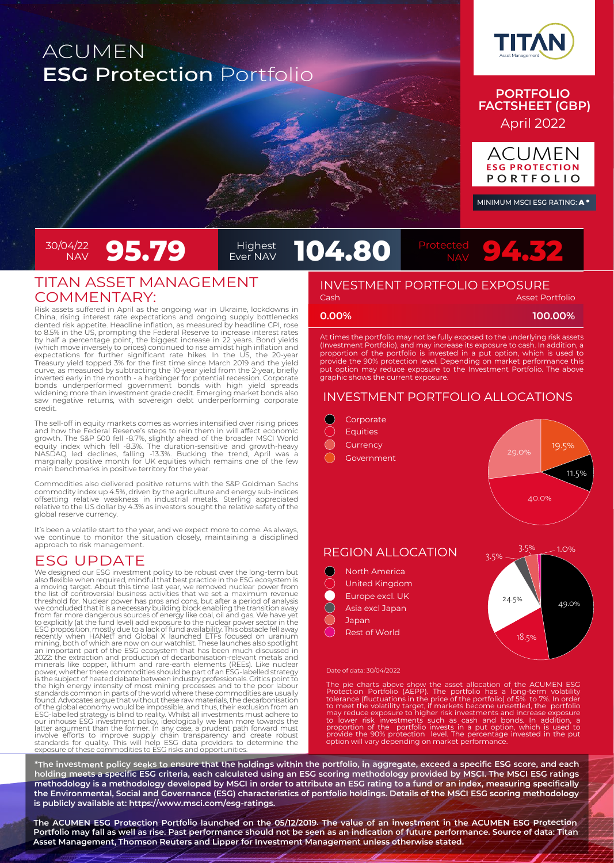# ACUMEN **ESG** Protection Portfolio



### **PORTFOLIO FACTSHEET (GBP)** April 2022



MINIMUM MSCI ESG RATING: A \*

# 30/04/22<br>NAV

## TITAN ASSET MANAGEMENT COMMENTARY:

Risk assets suffered in April as the ongoing war in Ukraine, lockdowns in China, rising interest rate expectations and ongoing supply bottlenecks dented risk appetite. Headline inflation, as measured by headline CPI, rose to 8.5% in the US, prompting the Federal Reserve to increase interest rates<br>by half a percentage point, the biggest increase in 22 years. Bond yields<br>(which move inversely to prices) continued to rise amidst high inflation expectations for further significant rate hikes. In the US, the 20-year Treasury yield topped 3% for the first time since March 2019 and the yield curve, as measured by subtracting the 10-year yield from the 2-year, briefly inverted early in the month - a harbinger for potential recession. Corporate bonds underperformed government bonds with high yield spreads widening more than investment grade credit. Emerging market bonds also saw negative returns, with sovereign debt underperforming corporate credit.

The sell-off in equity markets comes as worries intensified over rising prices and how the Federal Reserve's steps to rein them in will affect economic growth. The S&P 500 fell -8.7%, slightly ahead of the broader MSCI World<br>equity index which fell -8.3%. The duration-sensitive and growth-heavy<br>NASDAQ led declines, falling -13.3%. Bucking the trend, April was a<br>marginally

Commodities also delivered positive returns with the S&P Goldman Sachs commodity index up 4.5%, driven by the agriculture and energy sub-indices offsetting relative weakness in industrial metals. Sterling appreciated relative to the US dollar by 4.3% as investors sought the relative safety of the global reserve currency.

It's been a volatile start to the year, and we expect more to come. As always, we continue to monitor the situation closely, maintaining a disciplined approach to risk management.

## ESG UPDATE

We designed our ESG investment policy to be robust over the long-term but<br>also flexible when required, mindful that best practice in the ESG ecosystem is<br>a moving target. About this time last year, we removed nuclear power 2022: the extraction and production of decarbonisation-relevant metals and<br>minerals like copper, lithium and rare-earth elements (REEs). Like nuclear<br>power, whether these commodities should be part of an ESG-labelled strat found. Advocates argue that without these raw materials, the decarbonisation of the global economy would be impossible, and thus, their exclusion from an ESG-labelled strategy is blind to reality. Whilst all investments mu

# **95.79 Protect 104.80**



#### **Cash Asset Portfolio** INVESTMENT PORTFOLIO EXPOSURE

Highest<br>Ever NAV

**0.00% 100.00%**

At times the portfolio may not be fully exposed to the underlying risk assets (Investment Portfolio), and may increase its exposure to cash. In addition, a proportion of the portfolio is invested in a put option, which is used to provide the 90% protection level. Depending on market performance this put option may reduce exposure to the Investment Portfolio. The above graphic shows the current exposure.

## INVESTMENT PORTFOLIO ALLOCATIONS



#### Date of data: 30/04/2022

The pie charts above show the asset allocation of the ACUMEN ESG<br>Protection Portfolio (AEPP). The portfolio has a long-term volatility<br>tolerance (fluctuations in the price of the portfolio) of 5% to 7%. In order<br>to meet th

\*The investment policy seeks to ensure that the holdings within the portfolio, in aggregate, exceed a specific ESG score, and each holding meets a specific ESG criteria, each calculated using an ESG scoring methodology provided by MSCl. The MSCl ESG ratings methodology is a methodology developed by MSCI in order to attribute an ESG rating to a fund or an index, measuring specifically the Environmental, Social and Governance (ESG) characteristics of portfolio holdings. Details of the MSCI ESG scoring methodology **is publicly available at: https://www.msci.com/esg-ratings.**

The ACUMEN ESG Protection Portfolio launched on the 05/12/2019. The value of an investment in the ACUMEN ESG Protection Portfolio may fall as well as rise. Past performance should not be seen as an indication of future performance. Source of data: Titan **Asset Management, Thomson Reuters and Lipper for Investment Management unless otherwise stated.**